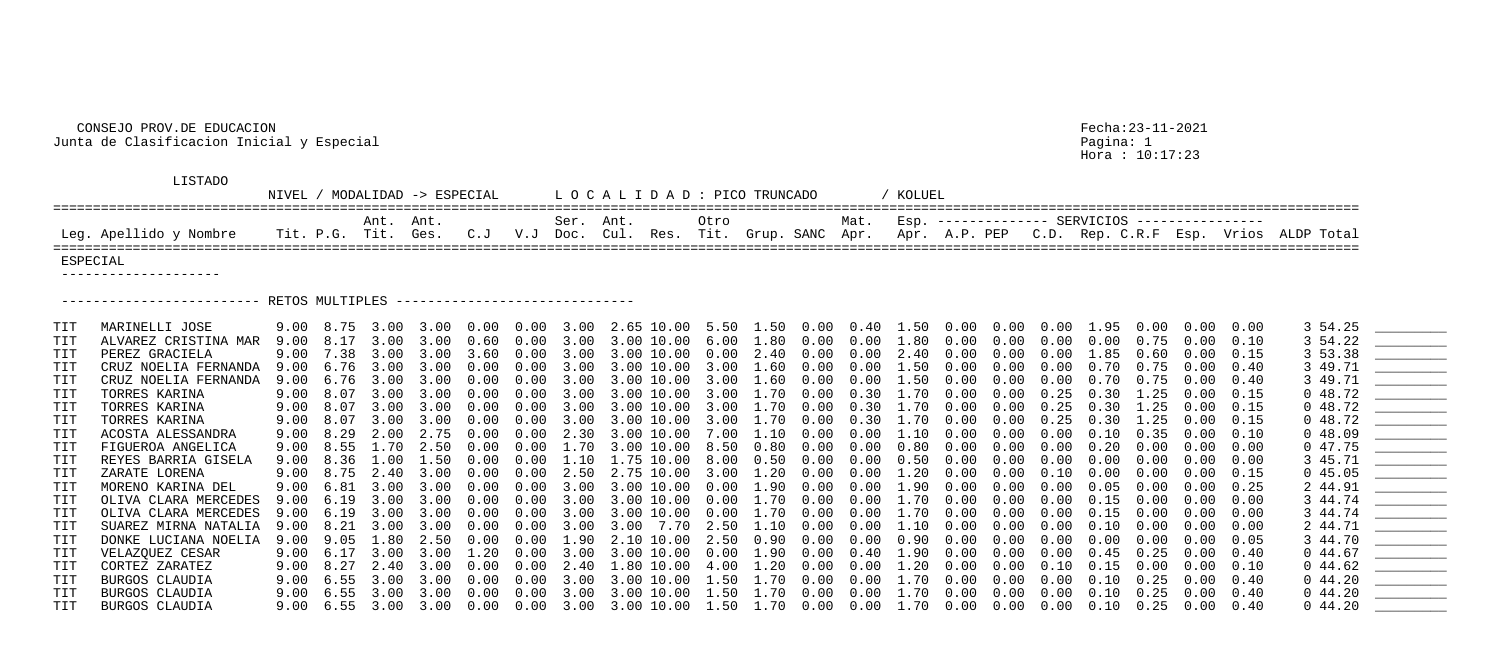## CONSEJO PROV.DE EDUCACION Fecha:23-11-2021 Junta de Clasificacion Inicial y Especial Pagina: 1

Hora : 10:17:23

| Mat. Esp. ------------- SERVICIOS ---------------<br>Grup. SANC Apr. Apr. A.P. PEP C.D. Rep. C.R.F Esp. Vrios ALDP Total | TRUNCADO |  | / KOLUEL |  |  |  |  |  |
|--------------------------------------------------------------------------------------------------------------------------|----------|--|----------|--|--|--|--|--|
|                                                                                                                          |          |  |          |  |  |  |  |  |

## LISTADO

NIVEL / MODALIDAD -> ESPECIAL LOCALIDAD: PICO ==================================================================================================================================================================== Ant. Ant. Ser. Ant. Otro Mat. Esp. -------------- SERVICIOS ---------------- Leg. Apellido y Nombre Tit. P.G. Tit. Ges. C.J V.J Doc. Cul. Res. Tit. ==================================================================================================================================================================== ESPECIAL --------------------

------------------------- RETOS MULTIPLES ------------------------------

| <b>TIT</b> | MARINELLI JOSE        |                   | $9.00 \quad 8.75 \quad 3.00$ |      |      |            |             |      | 3.00  0.00  0.00  3.00  2.65  10.00  5.50  1.50  0.00  0.40  1.50  0.00  0.00  0.00  1.95  0.00 |      |             |            |            |      |            |      |      |          |        | 0.00   | 0.00 | 3 54.25    |  |
|------------|-----------------------|-------------------|------------------------------|------|------|------------|-------------|------|-------------------------------------------------------------------------------------------------|------|-------------|------------|------------|------|------------|------|------|----------|--------|--------|------|------------|--|
| TIT        | ALVAREZ CRISTINA MAR  | 9.00              | 8.17                         | 3.00 | 3.00 | 0.60       |             |      | $0.00$ 3.00 3.00 10.00 6.00 1.80                                                                |      |             | 0.00       | 0.00       | 1.80 | 0.00       | 0.00 | 0.00 | 0.00     | 0.75   | 0.00   | 0.10 | 3 54.22    |  |
| TIT        | PEREZ GRACIELA        | 9.00              | 7.38                         | 3.00 | 3.00 | 3.60       | 0.00        | 3.00 | 3.00 10.00 0.00                                                                                 |      | 2.40        | $0\,.\,00$ | 0.00       | 2.40 | 0.00       | 0.00 | 0.00 | 1.85     | (1.60) |        |      | 3 53.38    |  |
| TIT        | CRUZ NOELIA FERNANDA  | 9.00              | 6.76                         | 3.00 | 3.00 | 0.00       | 0.00        | 3.00 | 3.00 10.00                                                                                      | 3.00 | 1.60        | 0.00       | 0.00       | .50  | 0.00       | 0.00 | 0.00 | 0.70     | 0.75   | 0.00   | 0.40 | 3 49.71    |  |
| TIT        | CRUZ NOELIA FERNANDA  | 9.00              | 6.76                         | 3.00 | 3.00 | 0.00       |             |      | $0.00$ 3.00 3.00 10.00 3.00 1.60                                                                |      |             | $0\,.\,00$ | $0\,.\,00$ | 1.50 | 0.00       | 0.00 | 0.00 | 0.70     | 0.75   | 0.00   | 0.40 | 3 49.71    |  |
| TIT        | TORRES KARINA         | 9.00 8.07         |                              | 3.00 | 3.00 | 0.00       |             |      | $0.00$ 3.00 3.00 10.00 3.00                                                                     |      | 1.70        | 0.00       | 0.30       | 1.70 | 0.00       | 0.00 | 0.25 | 0.30     | 1.25   | 0.00   | 0.15 | 048.72     |  |
| TIT        | TORRES KARINA         | 9.00              | 8.07                         | 3.00 | 3.00 | 0.00       | 0.00        | 3.00 | 3.00 10.00                                                                                      | 3.00 | 1.70        | 0.00       | 0.30       | 1.70 | 0.00       | 0.00 | 0.25 | 0.30     | 1.25   | 0.00   | 0.15 | 048.72     |  |
| TIT        | TORRES KARINA         | 9.00              | 8.07                         | 3.00 | 3.00 | 0.00       |             |      | $0.00$ 3.00 3.00 10.00 3.00 1.70 0.00                                                           |      |             |            | 0.30       | 1.70 | 0.00       | 0.00 | 0.25 | 0.30     | 1.25   | 0.00   | 0.15 | 048.72     |  |
| TIT        | ACOSTA ALESSANDRA     | 9.00              | 8.29                         | 2.00 | 2.75 | 0.00       | $0\,.\,00$  |      | 2.30 3.00 10.00                                                                                 | 7.00 | 1.10        | 0.00       | 0.00       | 1.10 | 0.00       | 0.00 | 0.00 | $0\,.10$ | 0.35   | 0.00   | 0.10 | 0.48.09    |  |
| TIT        | FIGUEROA ANGELICA     | 9.00              | 8.55                         | 1.70 | 2.50 | 0.00       | 0.00        |      | 1.70 3.00 10.00 8.50                                                                            |      | 0.80        | $0\,.\,00$ | 0.00       | 0.80 | 0.00       | 0.00 | 0.00 | 0.20     | 0.00   | 0.00   | 0.00 | 047.75     |  |
| TIT        | REYES BARRIA GISELA   | 9.00 8.36         |                              | 1.00 | 1.50 | $0\,.\,00$ |             |      | $0.00 \quad 1.10 \quad 1.75 \quad 10.00 \quad 8.00 \quad 0.50$                                  |      |             | 0.00       | 0.00       | 0.50 | 0.00       | 0.00 | 0.00 | 0.00     | 0.00   | (0.00) | 0.00 | 3 45.71    |  |
| TIT        | ZARATE LORENA         | 9.00 8.75         |                              | 2.40 | 3.00 | 0.00       |             |      | $0.00$ $2.50$ $2.75$ $10.00$ $3.00$                                                             |      | $1\ldotp20$ | 0.00       | 0.00       | .20  | 0.00       | 0.00 | 0.10 | 0.00     | 0.00   | 0.00   | 0.15 | 045.05     |  |
| TIT        | MORENO KARINA DEL     | 9.00              | 6.81                         | 3.00 | 3.00 | 0.00       | 0.00        |      | $3.00 \quad 3.00 \quad 10.00 \quad 0.00$                                                        |      | 1.90        | $0\,.\,00$ | 0.00       | .90  | 0.00       | 0.00 | 0.00 | 0.05     | 0.00   | 0.00   | 0.25 | 2 44.91    |  |
| TIT        | OLIVA CLARA MERCEDES  | 9.00              | 6.19                         | 3.00 | 3.00 | 0.00       |             |      | $0.00$ 3.00 3.00 10.00 0.00                                                                     |      | 1.70        | 0.00       | $0\,.\,00$ | 1.70 | 0.00       | 0.00 | 0.00 | 0.15     | 0.00   | (0.00) | 0.00 | 3 44.74    |  |
| TIT        | OLIVA CLARA MERCEDES  | 9.00              | 6.19                         | 3.00 | 3.00 | 0.00       | $0.00$ 3.00 |      | $3.00$ $10.00$ $0.00$                                                                           |      | 1.70        | 0.00       | 0.00       | 1.70 | 0.00       | 0.00 | 0.00 | 0.15     | 0.00   | 0.00   | 0.00 | 3 44.74    |  |
| <b>TIT</b> | SUAREZ MIRNA NATALIA  | 9.00              | 8.21                         | 3.00 | 3.00 | 0.00       |             |      | $0.00$ 3.00 3.00 7.70 2.50 1.10                                                                 |      |             | 0.00       | 0.00       | 1.10 | 0.00       | 0.00 | 0.00 | 0.10     | 0.00   | 0.00   | 0.00 | 2 44.71    |  |
| TIT        | DONKE LUCIANA NOELIA  | 9.00              | 9.05                         | 1.80 | 2.50 | 0.00       |             |      | $0.00 \quad 1.90 \quad 2.10 \quad 10.00 \quad 2.50$                                             |      | 0.90        | $0\,.\,00$ | 0.00       | 0.90 | 0.00       | 0.00 | 0.00 | 0.00     | 0.00   | 0.00   | 0.05 | 3 44.70    |  |
| TIT        | VELAZQUEZ CESAR       | 9.00              | 6.17                         | 3.00 | 3.00 | 1.20       |             |      | $0.00$ 3.00 3.00 10.00 0.00                                                                     |      | 1.90        | 0.00       | 0.40       | 1.90 | 0.00       | 0.00 | 0.00 | 0.45     | 0.25   | 0.00   | 0.40 | 0.44.67    |  |
| TIT        | CORTEZ ZARATEZ        | 9.00 8.27         |                              | 2.40 | 3.00 | 0.00       | 0.00        | 2.40 | $1.80$ $10.00$ $4.00$                                                                           |      | 1.20        | 0.00       | 0.00       | .20  | 0.00       | 0.00 | 0.10 | 0.15     | 0.00   | 0.00   | 0.10 | $0\;44.62$ |  |
| TIT        | BURGOS CLAUDIA        | 9.00              | 6.55                         | 3.00 | 3.00 |            | 0.00        | 3.00 | 3.00 10.00                                                                                      | 1.50 | .70         | 0.00       | 0.00       | . 70 | 0.00       | 0.00 | 0.00 |          |        |        | 0.40 | $0\;44.20$ |  |
| TIT        | <b>BURGOS CLAUDIA</b> | 9.00              | 6.55                         | 3.00 | 3.00 | 0.00       | 0.00        | 3.00 | 3.00 10.00 1.50                                                                                 |      | .70         | 0.00       | 0.00       | .70  | 0.00       | 0.00 | 0.00 | 0.10     | 0.25   | 0.00   | 0.40 | $0\;44.20$ |  |
| TIT        | BURGOS CLAUDIA        | $9.00 \quad 6.55$ |                              | 3.00 | 3.00 | 0.00       |             |      | $0.00$ 3.00 3.00 10.00 1.50 1.70 0.00                                                           |      |             |            | $0\,.\,00$ | 1.70 | $0\,.\,00$ | 0.00 | 0.00 | 0.10     | 0.25   | 0.00   | 0.40 | $0\;44.20$ |  |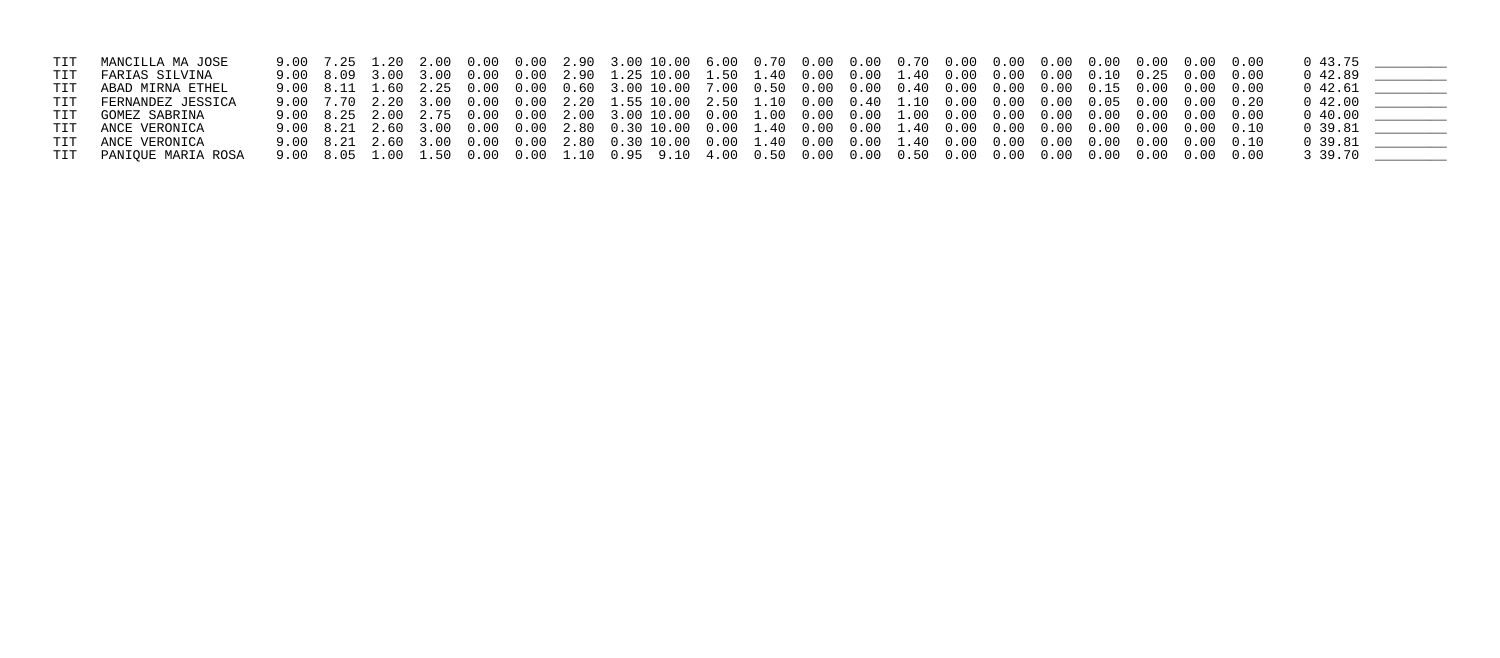| TIT MANCILLA MA JOSE   |  |  |  |                                                                                                           |  |  |  |  |  |  | 0 43.75                                        |  |
|------------------------|--|--|--|-----------------------------------------------------------------------------------------------------------|--|--|--|--|--|--|------------------------------------------------|--|
| TIT FARIAS SILVINA     |  |  |  | 9.00 8.09 3.00 3.00 0.00 0.00 2.90 1.25 10.00 1.50 1.40 0.00 0.00 1.40 0.00 0.00 0.00 0.10 0.25 0.00 0.00 |  |  |  |  |  |  | $0\,42.89$                                     |  |
| TIT ABAD MIRNA ETHEL   |  |  |  |                                                                                                           |  |  |  |  |  |  |                                                |  |
| TIT FERNANDEZ JESSICA  |  |  |  |                                                                                                           |  |  |  |  |  |  |                                                |  |
| TIT GOMEZ SABRINA      |  |  |  | 9.00 8.25 2.00 2.75 0.00 0.00 2.00 3.00 10.00 0.00 1.00 0.00 0.00 1.00 0.00 0.00 0.00 0.00 0.00 0.00 0.00 |  |  |  |  |  |  |                                                |  |
| TIT ANCE VERONICA      |  |  |  |                                                                                                           |  |  |  |  |  |  | $0 \quad 39.81 \quad \underline{\hspace{1cm}}$ |  |
| TIT ANCE VERONICA      |  |  |  |                                                                                                           |  |  |  |  |  |  | $0\,39.81$                                     |  |
| TIT PANIQUE MARIA ROSA |  |  |  |                                                                                                           |  |  |  |  |  |  | 3 39.70 _______                                |  |